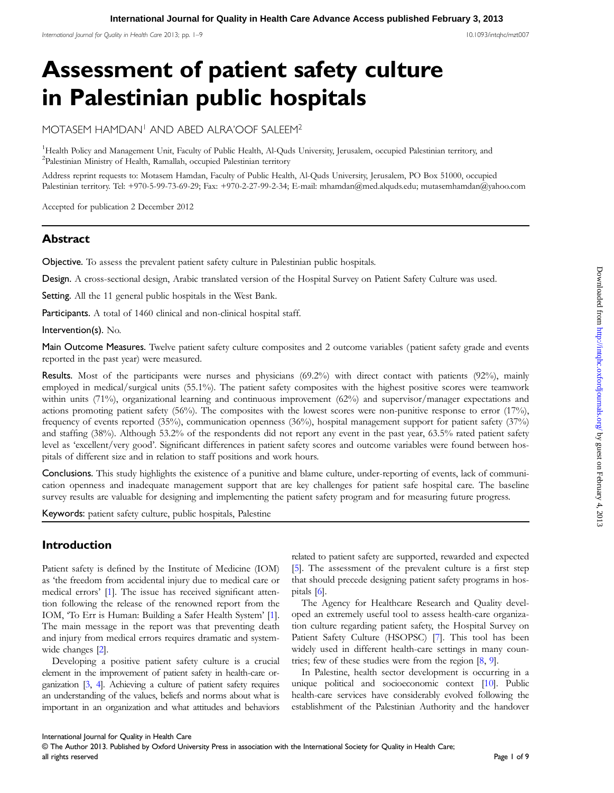International Iournal for Ouality in Health Care 2013; pp. 1–9 10.1093/intahc/mzt007

# Assessment of patient safety culture in Palestinian public hospitals

MOTASEM HAMDAN1 AND ABED ALRA'OOF SALEEM2

<sup>1</sup>Health Policy and Management Unit, Faculty of Public Health, Al-Quds University, Jerusalem, occupied Palestinian territory, and 2 Palestinian Ministry of Health, Ramallah, occupied Palestinian territory

Address reprint requests to: Motasem Hamdan, Faculty of Public Health, Al-Quds University, Jerusalem, PO Box 51000, occupied Palestinian territory. Tel: +970-5-99-73-69-29; Fax: +970-2-27-99-2-34; E-mail: mhamdan@med.alquds.edu; mutasemhamdan@yahoo.com

Accepted for publication 2 December 2012

# **Abstract**

Objective. To assess the prevalent patient safety culture in Palestinian public hospitals.

Design. A cross-sectional design, Arabic translated version of the Hospital Survey on Patient Safety Culture was used.

Setting. All the 11 general public hospitals in the West Bank.

Participants. A total of 1460 clinical and non-clinical hospital staff.

Intervention(s). No.

Main Outcome Measures. Twelve patient safety culture composites and 2 outcome variables (patient safety grade and events reported in the past year) were measured.

Results. Most of the participants were nurses and physicians (69.2%) with direct contact with patients (92%), mainly employed in medical/surgical units (55.1%). The patient safety composites with the highest positive scores were teamwork within units (71%), organizational learning and continuous improvement (62%) and supervisor/manager expectations and actions promoting patient safety (56%). The composites with the lowest scores were non-punitive response to error (17%), frequency of events reported (35%), communication openness (36%), hospital management support for patient safety (37%) and staffing (38%). Although 53.2% of the respondents did not report any event in the past year, 63.5% rated patient safety level as 'excellent/very good'. Significant differences in patient safety scores and outcome variables were found between hospitals of different size and in relation to staff positions and work hours.

Conclusions. This study highlights the existence of a punitive and blame culture, under-reporting of events, lack of communication openness and inadequate management support that are key challenges for patient safe hospital care. The baseline survey results are valuable for designing and implementing the patient safety program and for measuring future progress.

Keywords: patient safety culture, public hospitals, Palestine

# Introduction

Patient safety is defined by the Institute of Medicine (IOM) as 'the freedom from accidental injury due to medical care or medical errors' [\[1\]](#page-8-0). The issue has received significant attention following the release of the renowned report from the IOM, 'To Err is Human: Building a Safer Health System' [\[1](#page-8-0)]. The main message in the report was that preventing death and injury from medical errors requires dramatic and systemwide changes [[2](#page-8-0)].

Developing a positive patient safety culture is a crucial element in the improvement of patient safety in health-care organization [\[3,](#page-8-0) [4](#page-8-0)]. Achieving a culture of patient safety requires an understanding of the values, beliefs and norms about what is important in an organization and what attitudes and behaviors

related to patient safety are supported, rewarded and expected [[5](#page-8-0)]. The assessment of the prevalent culture is a first step that should precede designing patient safety programs in hospitals [[6](#page-8-0)].

The Agency for Healthcare Research and Quality developed an extremely useful tool to assess health-care organization culture regarding patient safety, the Hospital Survey on Patient Safety Culture (HSOPSC) [\[7\]](#page-8-0). This tool has been widely used in different health-care settings in many countries; few of these studies were from the region [\[8,](#page-8-0) [9\]](#page-8-0).

In Palestine, health sector development is occurring in a unique political and socioeconomic context [\[10](#page-8-0)]. Public health-care services have considerably evolved following the establishment of the Palestinian Authority and the handover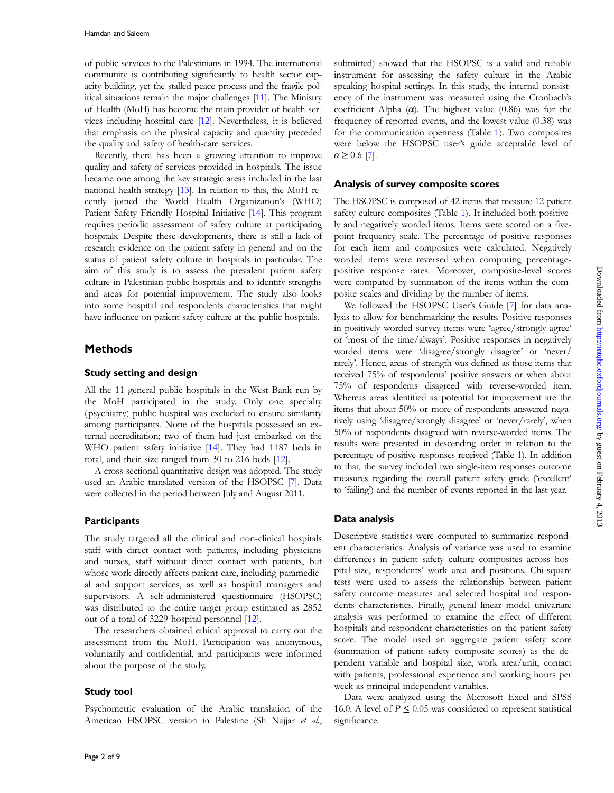of public services to the Palestinians in 1994. The international community is contributing significantly to health sector capacity building, yet the stalled peace process and the fragile political situations remain the major challenges [\[11](#page-8-0)]. The Ministry of Health (MoH) has become the main provider of health services including hospital care [\[12](#page-8-0)]. Nevertheless, it is believed that emphasis on the physical capacity and quantity preceded the quality and safety of health-care services.

Recently, there has been a growing attention to improve quality and safety of services provided in hospitals. The issue became one among the key strategic areas included in the last national health strategy [[13\]](#page-8-0). In relation to this, the MoH recently joined the World Health Organization's (WHO) Patient Safety Friendly Hospital Initiative [[14](#page-8-0)]. This program requires periodic assessment of safety culture at participating hospitals. Despite these developments, there is still a lack of research evidence on the patient safety in general and on the status of patient safety culture in hospitals in particular. The aim of this study is to assess the prevalent patient safety culture in Palestinian public hospitals and to identify strengths and areas for potential improvement. The study also looks into some hospital and respondents characteristics that might have influence on patient safety culture at the public hospitals.

## Methods

#### Study setting and design

All the 11 general public hospitals in the West Bank run by the MoH participated in the study. Only one specialty ( psychiatry) public hospital was excluded to ensure similarity among participants. None of the hospitals possessed an external accreditation; two of them had just embarked on the WHO patient safety initiative [[14](#page-8-0)]. They had 1187 beds in total, and their size ranged from 30 to 216 beds [\[12\]](#page-8-0).

A cross-sectional quantitative design was adopted. The study used an Arabic translated version of the HSOPSC [[7](#page-8-0)]. Data were collected in the period between July and August 2011.

#### **Participants**

The study targeted all the clinical and non-clinical hospitals staff with direct contact with patients, including physicians and nurses, staff without direct contact with patients, but whose work directly affects patient care, including paramedical and support services, as well as hospital managers and supervisors. A self-administered questionnaire (HSOPSC) was distributed to the entire target group estimated as 2852 out of a total of 3229 hospital personnel [[12](#page-8-0)].

The researchers obtained ethical approval to carry out the assessment from the MoH. Participation was anonymous, voluntarily and confidential, and participants were informed about the purpose of the study.

#### Study tool

Psychometric evaluation of the Arabic translation of the American HSOPSC version in Palestine (Sh Najjar et al., submitted) showed that the HSOPSC is a valid and reliable instrument for assessing the safety culture in the Arabic speaking hospital settings. In this study, the internal consistency of the instrument was measured using the Cronbach's coefficient Alpha  $(\alpha)$ . The highest value (0.86) was for the frequency of reported events, and the lowest value (0.38) was for the communication openness (Table [1](#page-2-0)). Two composites were below the HSOPSC user's guide acceptable level of  $\alpha \geq 0.6$  [[7\]](#page-8-0).

#### Analysis of survey composite scores

The HSOPSC is composed of 42 items that measure 12 patient safety culture composites (Table [1](#page-2-0)). It included both positively and negatively worded items. Items were scored on a fivepoint frequency scale. The percentage of positive responses for each item and composites were calculated. Negatively worded items were reversed when computing percentagepositive response rates. Moreover, composite-level scores were computed by summation of the items within the composite scales and dividing by the number of items.

We followed the HSOPSC User's Guide [\[7\]](#page-8-0) for data analysis to allow for benchmarking the results. Positive responses in positively worded survey items were 'agree/strongly agree' or 'most of the time/always'. Positive responses in negatively worded items were 'disagree/strongly disagree' or 'never/ rarely'. Hence, areas of strength was defined as those items that received 75% of respondents' positive answers or when about 75% of respondents disagreed with reverse-worded item. Whereas areas identified as potential for improvement are the items that about 50% or more of respondents answered negatively using 'disagree/strongly disagree' or 'never/rarely', when 50% of respondents disagreed with reverse-worded items. The results were presented in descending order in relation to the percentage of positive responses received (Table [1\)](#page-2-0). In addition to that, the survey included two single-item responses outcome measures regarding the overall patient safety grade ('excellent' to 'failing') and the number of events reported in the last year.

### Data analysis

Descriptive statistics were computed to summarize respondent characteristics. Analysis of variance was used to examine differences in patient safety culture composites across hospital size, respondents' work area and positions. Chi-square tests were used to assess the relationship between patient safety outcome measures and selected hospital and respondents characteristics. Finally, general linear model univariate analysis was performed to examine the effect of different hospitals and respondent characteristics on the patient safety score. The model used an aggregate patient safety score (summation of patient safety composite scores) as the dependent variable and hospital size, work area/unit, contact with patients, professional experience and working hours per week as principal independent variables.

Data were analyzed using the Microsoft Excel and SPSS 16.0. A level of  $P \le 0.05$  was considered to represent statistical significance.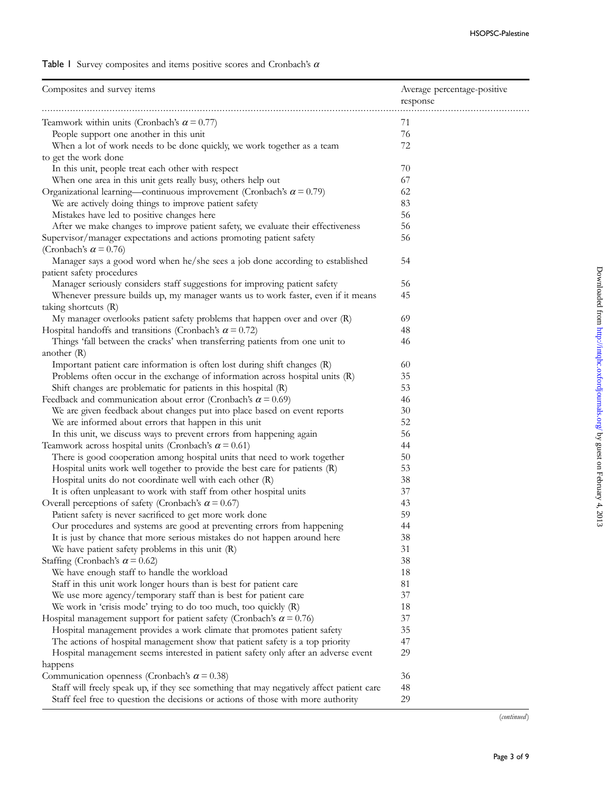<span id="page-2-0"></span>

| Composites and survey items                                                                                | Average percentage-positive<br>response |
|------------------------------------------------------------------------------------------------------------|-----------------------------------------|
| Teamwork within units (Cronbach's $\alpha$ = 0.77)                                                         | 71                                      |
| People support one another in this unit                                                                    | 76                                      |
| When a lot of work needs to be done quickly, we work together as a team                                    | 72                                      |
| to get the work done                                                                                       |                                         |
| In this unit, people treat each other with respect                                                         | 70                                      |
| When one area in this unit gets really busy, others help out                                               | 67                                      |
| Organizational learning—continuous improvement (Cronbach's $\alpha$ = 0.79)                                | 62                                      |
| We are actively doing things to improve patient safety                                                     | 83                                      |
| Mistakes have led to positive changes here                                                                 | 56                                      |
| After we make changes to improve patient safety, we evaluate their effectiveness                           | 56                                      |
| Supervisor/manager expectations and actions promoting patient safety<br>(Cronbach's $\alpha$ = 0.76)       | 56                                      |
| Manager says a good word when he/she sees a job done according to established<br>patient safety procedures | 54                                      |
| Manager seriously considers staff suggestions for improving patient safety                                 | 56                                      |
| Whenever pressure builds up, my manager wants us to work faster, even if it means                          | 45                                      |
| taking shortcuts (R)                                                                                       |                                         |
| My manager overlooks patient safety problems that happen over and over (R)                                 | 69                                      |
| Hospital handoffs and transitions (Cronbach's $\alpha$ = 0.72)                                             | 48                                      |
| Things 'fall between the cracks' when transferring patients from one unit to<br>another $(R)$              | 46                                      |
| Important patient care information is often lost during shift changes (R)                                  | 60                                      |
| Problems often occur in the exchange of information across hospital units $(R)$                            | 35                                      |
| Shift changes are problematic for patients in this hospital (R)                                            | 53                                      |
| Feedback and communication about error (Cronbach's $\alpha$ = 0.69)                                        | 46                                      |
| We are given feedback about changes put into place based on event reports                                  | 30                                      |
| We are informed about errors that happen in this unit                                                      | 52                                      |
| In this unit, we discuss ways to prevent errors from happening again                                       | 56                                      |
| Teamwork across hospital units (Cronbach's $\alpha$ = 0.61)                                                | 44                                      |
| There is good cooperation among hospital units that need to work together                                  | 50                                      |
| Hospital units work well together to provide the best care for patients (R)                                | 53                                      |
| Hospital units do not coordinate well with each other (R)                                                  | 38                                      |
| It is often unpleasant to work with staff from other hospital units                                        | 37                                      |
| Overall perceptions of safety (Cronbach's $\alpha$ = 0.67)                                                 | 43                                      |
| Patient safety is never sacrificed to get more work done                                                   | 59                                      |
| Our procedures and systems are good at preventing errors from happening                                    | 44                                      |
| It is just by chance that more serious mistakes do not happen around here                                  | 38                                      |
| We have patient safety problems in this unit $(R)$                                                         | 31                                      |
| Staffing (Cronbach's $\alpha$ = 0.62)                                                                      | 38                                      |
| We have enough staff to handle the workload                                                                | 18                                      |
| Staff in this unit work longer hours than is best for patient care                                         | 81                                      |
| We use more agency/temporary staff than is best for patient care                                           | 37                                      |
| We work in 'crisis mode' trying to do too much, too quickly (R)                                            | 18                                      |
| Hospital management support for patient safety (Cronbach's $\alpha$ = 0.76)                                | 37                                      |
| Hospital management provides a work climate that promotes patient safety                                   | 35                                      |
| The actions of hospital management show that patient safety is a top priority                              | 47                                      |
| Hospital management seems interested in patient safety only after an adverse event                         | 29                                      |
| happens                                                                                                    |                                         |
| Communication openness (Cronbach's $\alpha$ = 0.38)                                                        | 36                                      |
| Staff will freely speak up, if they see something that may negatively affect patient care                  | 48                                      |
| Staff feel free to question the decisions or actions of those with more authority                          | 29                                      |

 $(continued)$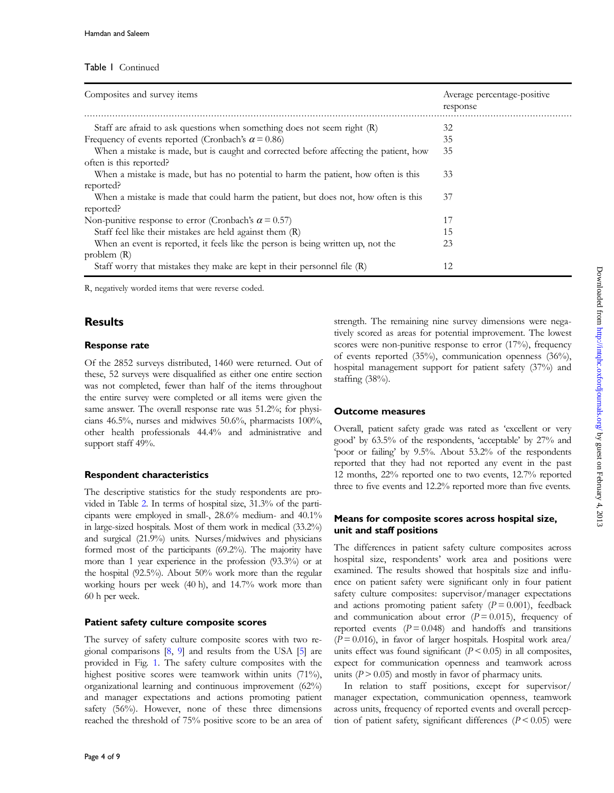#### Table 1 Continued

| Composites and survey items                                                           | Average percentage-positive<br>response |
|---------------------------------------------------------------------------------------|-----------------------------------------|
|                                                                                       |                                         |
| Staff are afraid to ask questions when something does not seem right $(R)$            | 32                                      |
| Frequency of events reported (Cronbach's $\alpha$ = 0.86)                             | 35                                      |
| When a mistake is made, but is caught and corrected before affecting the patient, how | 35                                      |
| often is this reported?                                                               |                                         |
| When a mistake is made, but has no potential to harm the patient, how often is this   | 33                                      |
| reported?                                                                             |                                         |
| When a mistake is made that could harm the patient, but does not, how often is this   | 37                                      |
| reported?                                                                             |                                         |
| Non-punitive response to error (Cronbach's $\alpha$ = 0.57)                           | 17                                      |
| Staff feel like their mistakes are held against them (R)                              | 15                                      |
| When an event is reported, it feels like the person is being written up, not the      | 23                                      |
| problem $(R)$                                                                         |                                         |
| Staff worry that mistakes they make are kept in their personnel file $(R)$            | 12                                      |

R, negatively worded items that were reverse coded.

## **Results**

#### Response rate

Of the 2852 surveys distributed, 1460 were returned. Out of these, 52 surveys were disqualified as either one entire section was not completed, fewer than half of the items throughout the entire survey were completed or all items were given the same answer. The overall response rate was 51.2%; for physicians 46.5%, nurses and midwives 50.6%, pharmacists 100%, other health professionals 44.4% and administrative and support staff 49%.

#### Respondent characteristics

The descriptive statistics for the study respondents are provided in Table [2.](#page-4-0) In terms of hospital size, 31.3% of the participants were employed in small-, 28.6% medium- and 40.1% in large-sized hospitals. Most of them work in medical (33.2%) and surgical (21.9%) units. Nurses/midwives and physicians formed most of the participants (69.2%). The majority have more than 1 year experience in the profession (93.3%) or at the hospital (92.5%). About 50% work more than the regular working hours per week (40 h), and 14.7% work more than 60 h per week.

#### Patient safety culture composite scores

The survey of safety culture composite scores with two regional comparisons [\[8](#page-8-0), [9\]](#page-8-0) and results from the USA [[5](#page-8-0)] are provided in Fig. [1](#page-5-0). The safety culture composites with the highest positive scores were teamwork within units (71%), organizational learning and continuous improvement (62%) and manager expectations and actions promoting patient safety (56%). However, none of these three dimensions reached the threshold of 75% positive score to be an area of strength. The remaining nine survey dimensions were negatively scored as areas for potential improvement. The lowest scores were non-punitive response to error (17%), frequency of events reported (35%), communication openness (36%), hospital management support for patient safety (37%) and staffing (38%).

#### Outcome measures

Overall, patient safety grade was rated as 'excellent or very good' by 63.5% of the respondents, 'acceptable' by 27% and 'poor or failing' by 9.5%. About 53.2% of the respondents reported that they had not reported any event in the past 12 months, 22% reported one to two events, 12.7% reported three to five events and 12.2% reported more than five events.

## Means for composite scores across hospital size, unit and staff positions

The differences in patient safety culture composites across hospital size, respondents' work area and positions were examined. The results showed that hospitals size and influence on patient safety were significant only in four patient safety culture composites: supervisor/manager expectations and actions promoting patient safety  $(P = 0.001)$ , feedback and communication about error  $(P = 0.015)$ , frequency of reported events  $(P = 0.048)$  and handoffs and transitions  $(P = 0.016)$ , in favor of larger hospitals. Hospital work area/ units effect was found significant  $(P < 0.05)$  in all composites, expect for communication openness and teamwork across units  $(P > 0.05)$  and mostly in favor of pharmacy units.

In relation to staff positions, except for supervisor/ manager expectation, communication openness, teamwork across units, frequency of reported events and overall perception of patient safety, significant differences  $(P < 0.05)$  were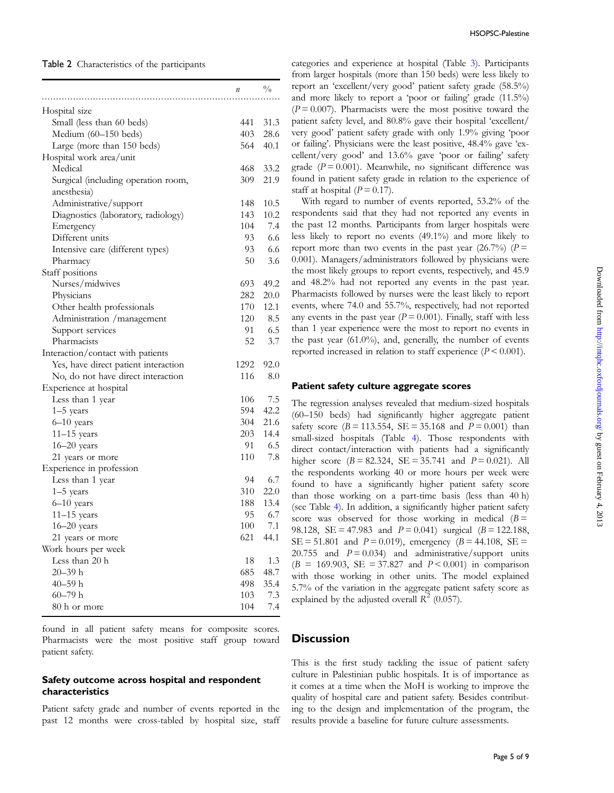<span id="page-4-0"></span>

| п                                            | $\frac{0}{0}$ |
|----------------------------------------------|---------------|
|                                              |               |
| Hospital size                                |               |
| Small (less than 60 beds)<br>441             | 31.3          |
| Medium (60-150 beds)<br>403                  | 28.6          |
| 564<br>Large (more than 150 beds)            | 40.1          |
| Hospital work area/unit                      |               |
| Medical<br>468 -                             | 33.2          |
| 309<br>Surgical (including operation room,   | 21.9          |
| anesthesia)                                  |               |
| Administrative/support<br>148                | 10.5          |
| 143<br>Diagnostics (laboratory, radiology)   | 10.2          |
| 104<br>Emergency                             | 7.4           |
| 93<br>Different units                        | 6.6           |
| 93<br>Intensive care (different types)       | 6.6           |
| 50<br>Pharmacy                               | 3.6           |
| Staff positions                              |               |
| 693<br>Nurses/midwives                       | 49.2          |
| 282<br>Physicians                            | 20.0          |
| 170<br>Other health professionals            | 12.1          |
| 120<br>Administration / management           | 8.5           |
| Support services<br>91.                      | 6.5           |
| 52<br>Pharmacists                            | 3.7           |
| Interaction/contact with patients            |               |
| Yes, have direct patient interaction<br>1292 | 92.0          |
| 116<br>No, do not have direct interaction    | 8.0           |
| Experience at hospital                       |               |
| 106<br>Less than 1 year                      | 7.5           |
| 594<br>$1-5$ years                           | 42.2          |
| 304<br>$6-10$ years                          | 21.6          |
| $11-15$ years                                | 203 14.4      |
| $16 - 20$ years<br>91 —                      | 6.5           |
| 110<br>21 years or more                      | 7.8           |
| Experience in profession                     |               |
| Less than 1 year<br>94                       | 6.7           |
| 310<br>$1-5$ years                           | 22.0          |
| $6 - 10$ years                               | 188 13.4      |
| $11-15$ years<br>95.                         | 6.7           |
| $16 - 20$ years<br>100                       | 7.1           |
| 621<br>21 years or more                      | 44.1          |
| Work hours per week                          |               |
| Less than 20 h<br>18                         | 1.3           |
| $20 - 39$ h<br>685                           | 48.7          |
| 40–59 h<br>498                               | 35.4          |
| $60 - 79$ h<br>103                           | 7.3           |
| 80 h or more<br>104                          | 7.4           |

found in all patient safety means for composite scores. Pharmacists were the most positive staff group toward patient safety.

#### Safety outcome across hospital and respondent characteristics

Patient safety grade and number of events reported in the past 12 months were cross-tabled by hospital size, staff categories and experience at hospital (Table [3](#page-6-0)). Participants from larger hospitals (more than 150 beds) were less likely to report an 'excellent/very good' patient safety grade (58.5%) and more likely to report a 'poor or failing' grade (11.5%)  $(P = 0.007)$ . Pharmacists were the most positive toward the patient safety level, and 80.8% gave their hospital 'excellent/ very good' patient safety grade with only 1.9% giving 'poor or failing'. Physicians were the least positive, 48.4% gave 'excellent/very good' and 13.6% gave 'poor or failing' safety grade ( $P = 0.001$ ). Meanwhile, no significant difference was found in patient safety grade in relation to the experience of staff at hospital  $(P = 0.17)$ .

With regard to number of events reported, 53.2% of the respondents said that they had not reported any events in the past 12 months. Participants from larger hospitals were less likely to report no events (49.1%) and more likely to report more than two events in the past year  $(26.7%)$  (P = 0.001). Managers/administrators followed by physicians were the most likely groups to report events, respectively, and 45.9 and 48.2% had not reported any events in the past year. Pharmacists followed by nurses were the least likely to report events, where 74.0 and 55.7%, respectively, had not reported any events in the past year ( $P = 0.001$ ). Finally, staff with less than 1 year experience were the most to report no events in the past year (61.0%), and, generally, the number of events reported increased in relation to staff experience  $(P < 0.001)$ .

#### Patient safety culture aggregate scores

The regression analyses revealed that medium-sized hospitals (60–150 beds) had significantly higher aggregate patient safety score ( $B = 113.554$ ,  $SE = 35.168$  and  $P = 0.001$ ) than small-sized hospitals (Table [4\)](#page-7-0). Those respondents with direct contact/interaction with patients had a significantly higher score  $(B = 82.324, SE = 35.741$  and  $P = 0.021$ ). All the respondents working 40 or more hours per week were found to have a significantly higher patient safety score than those working on a part-time basis (less than 40 h) (see Table [4\)](#page-7-0). In addition, a significantly higher patient safety score was observed for those working in medical  $(B =$ 98.128, SE = 47.983 and  $P = 0.041$ ) surgical (B = 122.188,  $SE = 51.801$  and  $P = 0.019$ , emergency  $(B = 44.108, SE =$ 20.755 and  $P = 0.034$ ) and administrative/support units  $(B = 169.903, SE = 37.827, and P < 0.001$  in comparison with those working in other units. The model explained 5.7% of the variation in the aggregate patient safety score as explained by the adjusted overall  $R^2$  (0.057).

## **Discussion**

This is the first study tackling the issue of patient safety culture in Palestinian public hospitals. It is of importance as it comes at a time when the MoH is working to improve the quality of hospital care and patient safety. Besides contributing to the design and implementation of the program, the results provide a baseline for future culture assessments.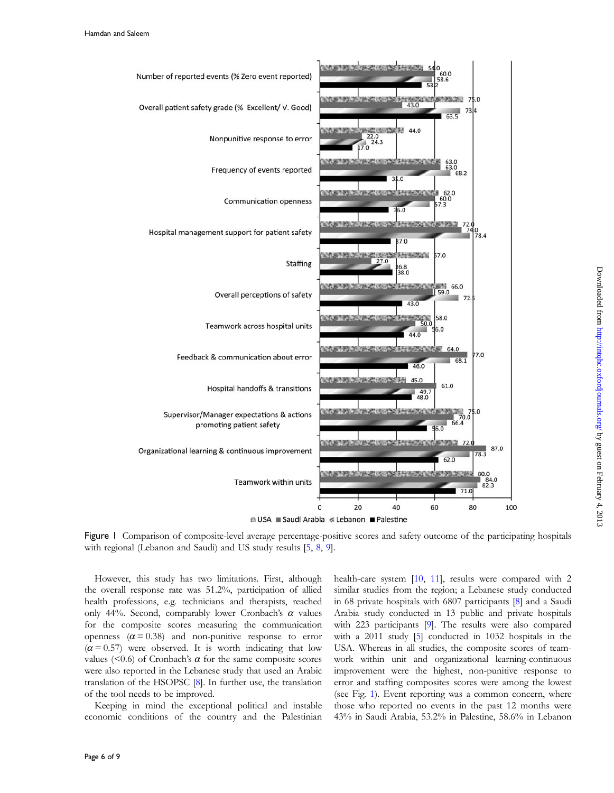<span id="page-5-0"></span>

Downloaded from http://intqhc.oxfordjournals.org/ by guest on February 4, 2013 Downloaded from <http://intqhc.oxfordjournals.org/> Dy guest on February 4, 2013

Figure 1 Comparison of composite-level average percentage-positive scores and safety outcome of the participating hospitals with regional (Lebanon and Saudi) and US study results [\[5](#page-8-0), [8,](#page-8-0) [9\]](#page-8-0).

However, this study has two limitations. First, although the overall response rate was 51.2%, participation of allied health professions, e.g. technicians and therapists, reached only 44%. Second, comparably lower Cronbach's  $\alpha$  values for the composite scores measuring the communication openness  $(\alpha = 0.38)$  and non-punitive response to error  $(\alpha = 0.57)$  were observed. It is worth indicating that low values ( $\leq 0.6$ ) of Cronbach's  $\alpha$  for the same composite scores were also reported in the Lebanese study that used an Arabic translation of the HSOPSC [\[8\]](#page-8-0). In further use, the translation of the tool needs to be improved.

Keeping in mind the exceptional political and instable economic conditions of the country and the Palestinian health-care system [[10](#page-8-0), [11\]](#page-8-0), results were compared with 2 similar studies from the region; a Lebanese study conducted in 68 private hospitals with 6807 participants [\[8\]](#page-8-0) and a Saudi Arabia study conducted in 13 public and private hospitals with 223 participants [[9](#page-8-0)]. The results were also compared with a 2011 study [\[5\]](#page-8-0) conducted in 1032 hospitals in the USA. Whereas in all studies, the composite scores of teamwork within unit and organizational learning-continuous improvement were the highest, non-punitive response to error and staffing composites scores were among the lowest (see Fig. 1). Event reporting was a common concern, where those who reported no events in the past 12 months were 43% in Saudi Arabia, 53.2% in Palestine, 58.6% in Lebanon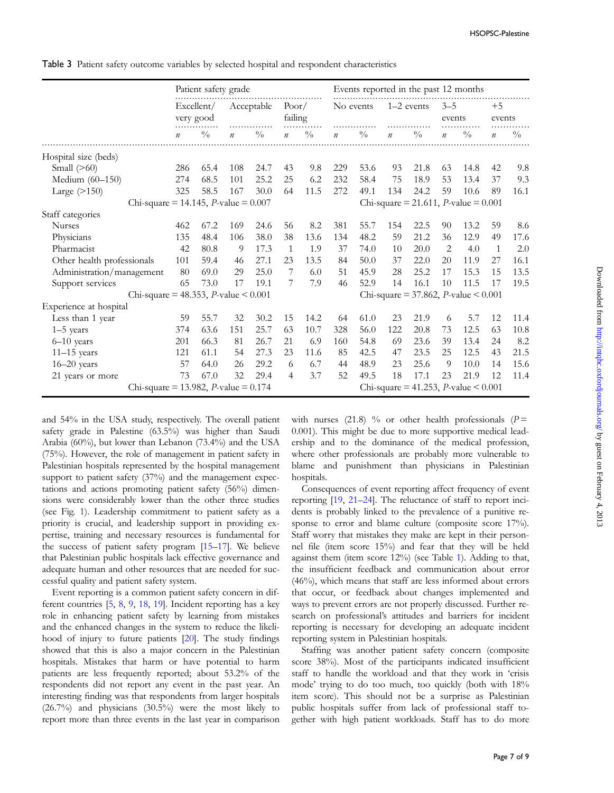<span id="page-6-0"></span>Table 3 Patient safety outcome variables by selected hospital and respondent characteristics

|                                                | Patient safety grade    |               |                  |               |                  | Events reported in the past 12 months |                                                |               |                                                |                                                |                   |             |                  |               |
|------------------------------------------------|-------------------------|---------------|------------------|---------------|------------------|---------------------------------------|------------------------------------------------|---------------|------------------------------------------------|------------------------------------------------|-------------------|-------------|------------------|---------------|
|                                                | Excellent/<br>very good |               | Acceptable       |               | Poor/<br>failing |                                       | No events                                      |               | $1-2$ events                                   |                                                | $3 - 5$<br>events |             | $+5$<br>events   |               |
|                                                | $\boldsymbol{n}$        | $\frac{0}{0}$ | $\boldsymbol{n}$ | $\frac{0}{0}$ | $\boldsymbol{n}$ | $\sqrt[0]{\!0}$                       | $\mathfrak n$                                  | $\frac{0}{0}$ | $\boldsymbol{n}$                               | $\frac{0}{0}$                                  | $\boldsymbol{n}$  | $^{0}/_{0}$ | $\boldsymbol{n}$ | $\frac{0}{0}$ |
| Hospital size (beds)                           |                         |               |                  |               |                  |                                       |                                                |               |                                                |                                                |                   |             |                  |               |
| Small $(>60)$                                  | 286                     | 65.4          | 108              | 24.7          | 43               | 9.8                                   | 229                                            | 53.6          | 93                                             | 21.8                                           | 63                | 14.8        | 42               | 9.8           |
| Medium (60-150)                                | 274                     | 68.5          | 101              | 25.2          | 25               | 6.2                                   | 232                                            | 58.4          | 75                                             | 18.9                                           | 53                | 13.4        | 37               | 9.3           |
| Large $($ >150 $)$                             | 325                     | 58.5          | 167              | 30.0          | 64               | 11.5                                  | 272                                            | 49.1          | 134                                            | 24.2                                           | 59                | 10.6        | 89               | 16.1          |
| Chi-square = 14.145, <i>P</i> -value = $0.007$ |                         |               |                  |               |                  |                                       |                                                |               |                                                | Chi-square = 21.611, <i>P</i> -value = $0.001$ |                   |             |                  |               |
| Staff categories                               |                         |               |                  |               |                  |                                       |                                                |               |                                                |                                                |                   |             |                  |               |
| <b>Nurses</b>                                  | 462                     | 67.2          | 169              | 24.6          | 56               | 8.2                                   | 381                                            | 55.7          | 154                                            | 22.5                                           | 90                | 13.2        | 59               | 8.6           |
| Physicians                                     | 135                     | 48.4          | 106              | 38.0          | 38               | 13.6                                  | 134                                            | 48.2          | 59                                             | 21.2                                           | 36                | 12.9        | 49               | 17.6          |
| Pharmacist                                     | 42                      | 80.8          | 9                | 17.3          | 1                | 1.9                                   | 37                                             | 74.0          | 10                                             | 20.0                                           | $\overline{2}$    | 4.0         | 1                | 2.0           |
| Other health professionals                     | 101                     | 59.4          | 46               | 27.1          | 23               | 13.5                                  | 84                                             | 50.0          | 37                                             | 22.0                                           | 20                | 11.9        | 27               | 16.1          |
| Administration/management                      | 80                      | 69.0          | 29               | 25.0          | 7                | 6.0                                   | 51                                             | 45.9          | 28                                             | 25.2                                           | 17                | 15.3        | 15               | 13.5          |
| Support services                               | 65                      | 73.0          | 17               | 19.1          | 7                | 7.9                                   | 46                                             | 52.9          | 14                                             | 16.1                                           | 10                | 11.5        | 17               | 19.5          |
| Chi-square = 48.353, <i>P</i> -value < $0.001$ |                         |               |                  |               |                  |                                       |                                                |               | Chi-square = 37.862, <i>P</i> -value < $0.001$ |                                                |                   |             |                  |               |
| Experience at hospital                         |                         |               |                  |               |                  |                                       |                                                |               |                                                |                                                |                   |             |                  |               |
| Less than 1 year                               | 59                      | 55.7          | 32               | 30.2          | 15               | 14.2                                  | 64                                             | 61.0          | 23                                             | 21.9                                           | 6                 | 5.7         | 12               | 11.4          |
| $1-5$ years                                    | 374                     | 63.6          | 151              | 25.7          | 63               | 10.7                                  | 328                                            | 56.0          | 122                                            | 20.8                                           | 73                | 12.5        | 63               | 10.8          |
| $6-10$ years                                   | 201                     | 66.3          | 81               | 26.7          | 21               | 6.9                                   | 160                                            | 54.8          | 69                                             | 23.6                                           | 39                | 13.4        | 24               | 8.2           |
| $11-15$ years                                  | 121                     | 61.1          | 54               | 27.3          | 23               | 11.6                                  | 85                                             | 42.5          | 47                                             | 23.5                                           | 25                | 12.5        | 43               | 21.5          |
| $16 - 20$ years                                | 57                      | 64.0          | 26               | 29.2          | 6                | 6.7                                   | 44                                             | 48.9          | 23                                             | 25.6                                           | 9                 | 10.0        | 14               | 15.6          |
| 21 years or more                               | 73                      | 67.0          | 32               | 29.4          | $\overline{4}$   | 3.7                                   | 52                                             | 49.5          | 18                                             | 17.1                                           | 23                | 21.9        | 12               | 11.4          |
| Chi-square = 13.982, <i>P</i> -value = $0.174$ |                         |               |                  |               |                  |                                       | Chi-square = 41.253, <i>P</i> -value < $0.001$ |               |                                                |                                                |                   |             |                  |               |

and 54% in the USA study, respectively. The overall patient safety grade in Palestine (63.5%) was higher than Saudi Arabia (60%), but lower than Lebanon (73.4%) and the USA (75%). However, the role of management in patient safety in Palestinian hospitals represented by the hospital management support to patient safety (37%) and the management expectations and actions promoting patient safety (56%) dimensions were considerably lower than the other three studies (see Fig. [1](#page-5-0)). Leadership commitment to patient safety as a priority is crucial, and leadership support in providing expertise, training and necessary resources is fundamental for the success of patient safety program [[15](#page-8-0)–[17](#page-8-0)]. We believe that Palestinian public hospitals lack effective governance and adequate human and other resources that are needed for successful quality and patient safety system.

Event reporting is a common patient safety concern in different countries [\[5,](#page-8-0) [8,](#page-8-0) [9](#page-8-0), [18,](#page-8-0) [19](#page-8-0)]. Incident reporting has a key role in enhancing patient safety by learning from mistakes and the enhanced changes in the system to reduce the likelihood of injury to future patients [\[20](#page-8-0)]. The study findings showed that this is also a major concern in the Palestinian hospitals. Mistakes that harm or have potential to harm patients are less frequently reported; about 53.2% of the respondents did not report any event in the past year. An interesting finding was that respondents from larger hospitals (26.7%) and physicians (30.5%) were the most likely to report more than three events in the last year in comparison

with nurses (21.8) % or other health professionals ( $P =$ 0.001). This might be due to more supportive medical leadership and to the dominance of the medical profession, where other professionals are probably more vulnerable to blame and punishment than physicians in Palestinian hospitals.

Consequences of event reporting affect frequency of event reporting [[19,](#page-8-0) [21](#page-8-0)–[24](#page-8-0)]. The reluctance of staff to report incidents is probably linked to the prevalence of a punitive response to error and blame culture (composite score 17%). Staff worry that mistakes they make are kept in their personnel file (item score 15%) and fear that they will be held against them (item score 12%) (see Table [1](#page-2-0)). Adding to that, the insufficient feedback and communication about error (46%), which means that staff are less informed about errors that occur, or feedback about changes implemented and ways to prevent errors are not properly discussed. Further research on professional's attitudes and barriers for incident reporting is necessary for developing an adequate incident reporting system in Palestinian hospitals.

Staffing was another patient safety concern (composite score 38%). Most of the participants indicated insufficient staff to handle the workload and that they work in 'crisis mode' trying to do too much, too quickly (both with 18% item score). This should not be a surprise as Palestinian public hospitals suffer from lack of professional staff together with high patient workloads. Staff has to do more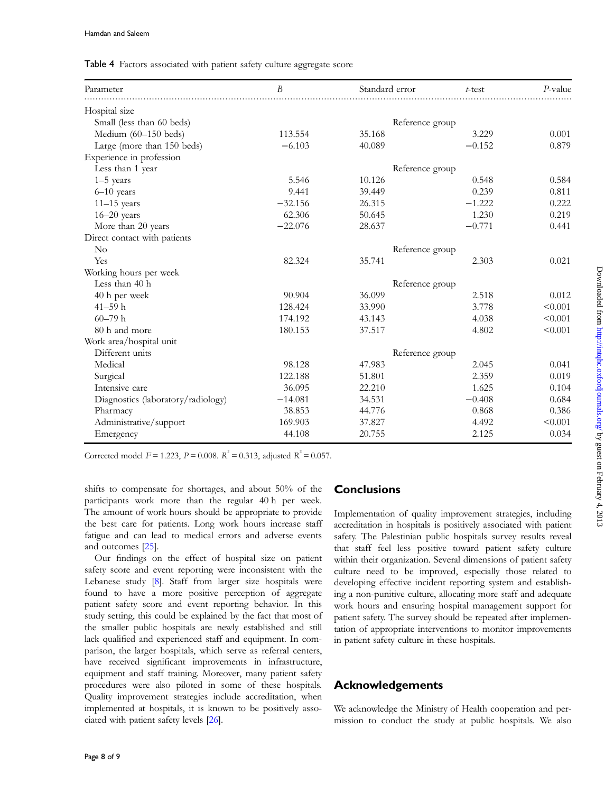<span id="page-7-0"></span>

|  |  | Table 4 Factors associated with patient safety culture aggregate score |  |  |  |  |  |  |
|--|--|------------------------------------------------------------------------|--|--|--|--|--|--|
|--|--|------------------------------------------------------------------------|--|--|--|--|--|--|

| Parameter                          | B         | Standard error  | $t$ -test | P-value |
|------------------------------------|-----------|-----------------|-----------|---------|
| Hospital size                      |           |                 |           |         |
| Small (less than 60 beds)          |           | Reference group |           |         |
| Medium (60-150 beds)               | 113.554   | 35.168          | 3.229     | 0.001   |
| Large (more than 150 beds)         | $-6.103$  | 40.089          | $-0.152$  | 0.879   |
| Experience in profession           |           |                 |           |         |
| Less than 1 year                   |           | Reference group |           |         |
| $1-5$ years                        | 5.546     | 10.126          | 0.548     | 0.584   |
| $6-10$ years                       | 9.441     | 39.449          | 0.239     | 0.811   |
| $11-15$ years                      | $-32.156$ | 26.315          | $-1.222$  | 0.222   |
| $16 - 20$ years                    | 62.306    | 50.645          | 1.230     | 0.219   |
| More than 20 years                 | $-22.076$ | 28.637          | $-0.771$  | 0.441   |
| Direct contact with patients       |           |                 |           |         |
| $\rm No$                           |           | Reference group |           |         |
| Yes                                | 82.324    | 35.741          | 2.303     | 0.021   |
| Working hours per week             |           |                 |           |         |
| Less than 40 h                     |           | Reference group |           |         |
| 40 h per week                      | 90.904    | 36.099          | 2.518     | 0.012   |
| $41 - 59$ h                        | 128.424   | 33.990          | 3.778     | < 0.001 |
| $60 - 79 h$                        | 174.192   | 43.143          | 4.038     | < 0.001 |
| 80 h and more                      | 180.153   | 37.517          | 4.802     | < 0.001 |
| Work area/hospital unit            |           |                 |           |         |
| Different units                    |           | Reference group |           |         |
| Medical                            | 98.128    | 47.983          | 2.045     | 0.041   |
| Surgical                           | 122.188   | 51.801          | 2.359     | 0.019   |
| Intensive care                     | 36.095    | 22.210          | 1.625     | 0.104   |
| Diagnostics (laboratory/radiology) | $-14.081$ | 34.531          | $-0.408$  | 0.684   |
| Pharmacy                           | 38.853    | 44.776          | 0.868     | 0.386   |
| Administrative/support             | 169.903   | 37.827          | 4.492     | < 0.001 |
| Emergency                          | 44.108    | 20.755          | 2.125     | 0.034   |

Corrected model  $F = 1.223$ ,  $P = 0.008$ .  $R^2 = 0.313$ , adjusted  $R^2 = 0.057$ .

shifts to compensate for shortages, and about 50% of the participants work more than the regular 40 h per week. The amount of work hours should be appropriate to provide the best care for patients. Long work hours increase staff fatigue and can lead to medical errors and adverse events and outcomes [\[25\]](#page-8-0).

Our findings on the effect of hospital size on patient safety score and event reporting were inconsistent with the Lebanese study [\[8\]](#page-8-0). Staff from larger size hospitals were found to have a more positive perception of aggregate patient safety score and event reporting behavior. In this study setting, this could be explained by the fact that most of the smaller public hospitals are newly established and still lack qualified and experienced staff and equipment. In comparison, the larger hospitals, which serve as referral centers, have received significant improvements in infrastructure, equipment and staff training. Moreover, many patient safety procedures were also piloted in some of these hospitals. Quality improvement strategies include accreditation, when implemented at hospitals, it is known to be positively associated with patient safety levels [\[26\]](#page-8-0).

## **Conclusions**

Implementation of quality improvement strategies, including accreditation in hospitals is positively associated with patient safety. The Palestinian public hospitals survey results reveal that staff feel less positive toward patient safety culture within their organization. Several dimensions of patient safety culture need to be improved, especially those related to developing effective incident reporting system and establishing a non-punitive culture, allocating more staff and adequate work hours and ensuring hospital management support for patient safety. The survey should be repeated after implementation of appropriate interventions to monitor improvements in patient safety culture in these hospitals.

## Acknowledgements

We acknowledge the Ministry of Health cooperation and permission to conduct the study at public hospitals. We also